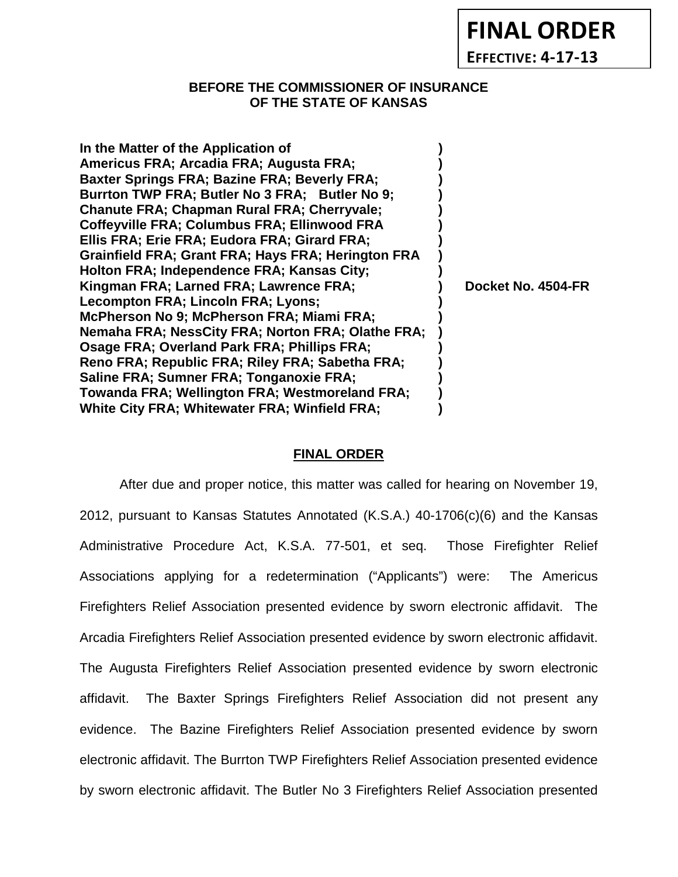**FINAL ORDER**

**EFFECTIVE: 4-17-13**

# **BEFORE THE COMMISSIONER OF INSURANCE OF THE STATE OF KANSAS**

| In the Matter of the Application of                 |                    |
|-----------------------------------------------------|--------------------|
| Americus FRA; Arcadia FRA; Augusta FRA;             |                    |
| <b>Baxter Springs FRA; Bazine FRA; Beverly FRA;</b> |                    |
| Burrton TWP FRA; Butler No 3 FRA; Butler No 9;      |                    |
| <b>Chanute FRA: Chapman Rural FRA: Cherryvale:</b>  |                    |
| <b>Coffeyville FRA; Columbus FRA; Ellinwood FRA</b> |                    |
| Ellis FRA; Erie FRA; Eudora FRA; Girard FRA;        |                    |
| Grainfield FRA; Grant FRA; Hays FRA; Herington FRA  |                    |
| Holton FRA; Independence FRA; Kansas City;          |                    |
| Kingman FRA; Larned FRA; Lawrence FRA;              | Docket No. 4504-FR |
| <b>Lecompton FRA; Lincoln FRA; Lyons;</b>           |                    |
| McPherson No 9; McPherson FRA; Miami FRA;           |                    |
| Nemaha FRA; NessCity FRA; Norton FRA; Olathe FRA;   |                    |
| Osage FRA; Overland Park FRA; Phillips FRA;         |                    |
| Reno FRA; Republic FRA; Riley FRA; Sabetha FRA;     |                    |
| Saline FRA; Sumner FRA; Tonganoxie FRA;             |                    |
| Towanda FRA; Wellington FRA; Westmoreland FRA;      |                    |
| White City FRA; Whitewater FRA; Winfield FRA;       |                    |

## **FINAL ORDER**

After due and proper notice, this matter was called for hearing on November 19, 2012, pursuant to Kansas Statutes Annotated (K.S.A.) 40-1706(c)(6) and the Kansas Administrative Procedure Act, K.S.A. 77-501, et seq. Those Firefighter Relief Associations applying for a redetermination ("Applicants") were: The Americus Firefighters Relief Association presented evidence by sworn electronic affidavit. The Arcadia Firefighters Relief Association presented evidence by sworn electronic affidavit. The Augusta Firefighters Relief Association presented evidence by sworn electronic affidavit. The Baxter Springs Firefighters Relief Association did not present any evidence. The Bazine Firefighters Relief Association presented evidence by sworn electronic affidavit. The Burrton TWP Firefighters Relief Association presented evidence by sworn electronic affidavit. The Butler No 3 Firefighters Relief Association presented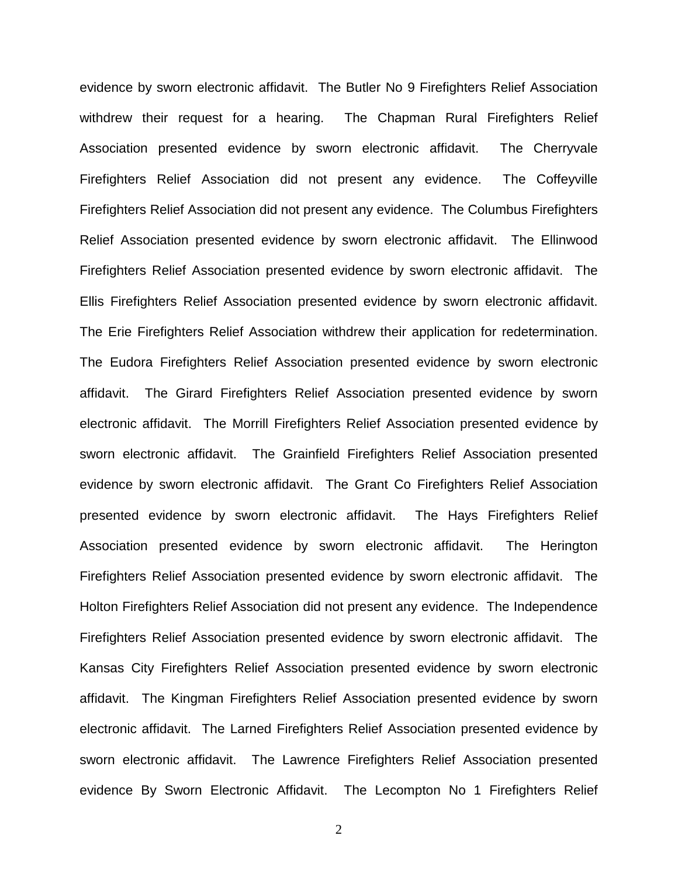evidence by sworn electronic affidavit. The Butler No 9 Firefighters Relief Association withdrew their request for a hearing. The Chapman Rural Firefighters Relief Association presented evidence by sworn electronic affidavit. The Cherryvale Firefighters Relief Association did not present any evidence. The Coffeyville Firefighters Relief Association did not present any evidence. The Columbus Firefighters Relief Association presented evidence by sworn electronic affidavit. The Ellinwood Firefighters Relief Association presented evidence by sworn electronic affidavit. The Ellis Firefighters Relief Association presented evidence by sworn electronic affidavit. The Erie Firefighters Relief Association withdrew their application for redetermination. The Eudora Firefighters Relief Association presented evidence by sworn electronic affidavit. The Girard Firefighters Relief Association presented evidence by sworn electronic affidavit. The Morrill Firefighters Relief Association presented evidence by sworn electronic affidavit. The Grainfield Firefighters Relief Association presented evidence by sworn electronic affidavit. The Grant Co Firefighters Relief Association presented evidence by sworn electronic affidavit. The Hays Firefighters Relief Association presented evidence by sworn electronic affidavit. The Herington Firefighters Relief Association presented evidence by sworn electronic affidavit. The Holton Firefighters Relief Association did not present any evidence. The Independence Firefighters Relief Association presented evidence by sworn electronic affidavit. The Kansas City Firefighters Relief Association presented evidence by sworn electronic affidavit. The Kingman Firefighters Relief Association presented evidence by sworn electronic affidavit. The Larned Firefighters Relief Association presented evidence by sworn electronic affidavit. The Lawrence Firefighters Relief Association presented evidence By Sworn Electronic Affidavit. The Lecompton No 1 Firefighters Relief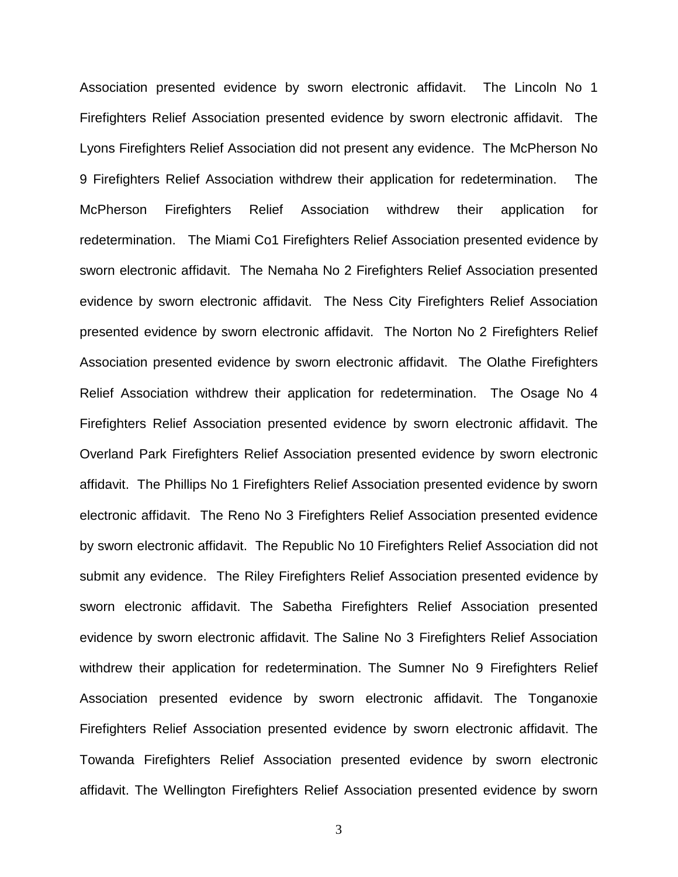Association presented evidence by sworn electronic affidavit. The Lincoln No 1 Firefighters Relief Association presented evidence by sworn electronic affidavit. The Lyons Firefighters Relief Association did not present any evidence. The McPherson No 9 Firefighters Relief Association withdrew their application for redetermination. The McPherson Firefighters Relief Association withdrew their application for redetermination. The Miami Co1 Firefighters Relief Association presented evidence by sworn electronic affidavit. The Nemaha No 2 Firefighters Relief Association presented evidence by sworn electronic affidavit. The Ness City Firefighters Relief Association presented evidence by sworn electronic affidavit. The Norton No 2 Firefighters Relief Association presented evidence by sworn electronic affidavit. The Olathe Firefighters Relief Association withdrew their application for redetermination. The Osage No 4 Firefighters Relief Association presented evidence by sworn electronic affidavit. The Overland Park Firefighters Relief Association presented evidence by sworn electronic affidavit. The Phillips No 1 Firefighters Relief Association presented evidence by sworn electronic affidavit. The Reno No 3 Firefighters Relief Association presented evidence by sworn electronic affidavit. The Republic No 10 Firefighters Relief Association did not submit any evidence. The Riley Firefighters Relief Association presented evidence by sworn electronic affidavit. The Sabetha Firefighters Relief Association presented evidence by sworn electronic affidavit. The Saline No 3 Firefighters Relief Association withdrew their application for redetermination. The Sumner No 9 Firefighters Relief Association presented evidence by sworn electronic affidavit. The Tonganoxie Firefighters Relief Association presented evidence by sworn electronic affidavit. The Towanda Firefighters Relief Association presented evidence by sworn electronic affidavit. The Wellington Firefighters Relief Association presented evidence by sworn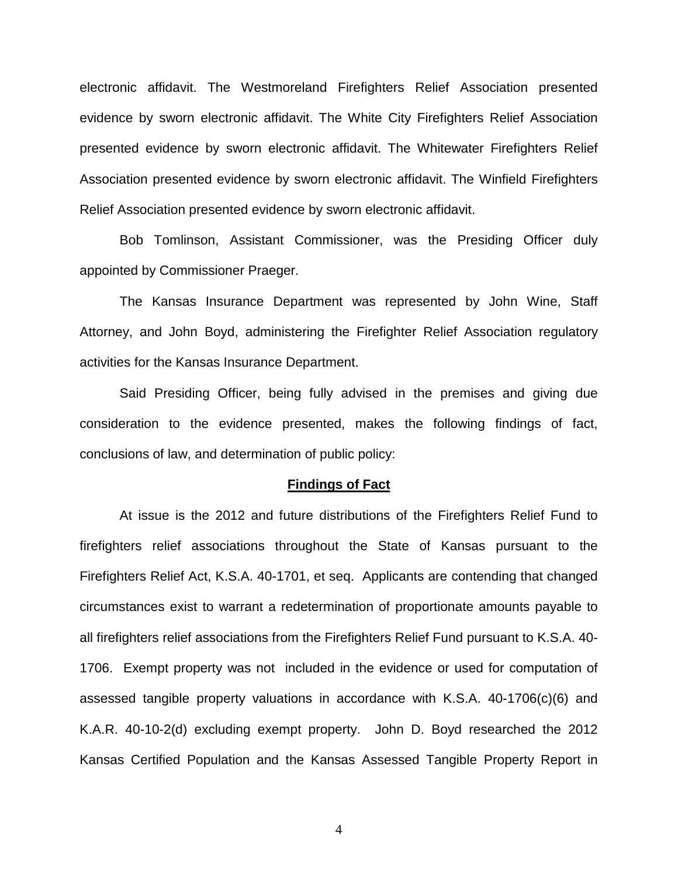electronic affidavit. The Westmoreland Firefighters Relief Association presented evidence by sworn electronic affidavit. The White City Firefighters Relief Association presented evidence by sworn electronic affidavit. The Whitewater Firefighters Relief Association presented evidence by sworn electronic affidavit. The Winfield Firefighters Relief Association presented evidence by sworn electronic affidavit.

Bob Tomlinson, Assistant Commissioner, was the Presiding Officer duly appointed by Commissioner Praeger.

The Kansas Insurance Department was represented by John Wine, Staff Attorney, and John Boyd, administering the Firefighter Relief Association regulatory activities for the Kansas Insurance Department.

Said Presiding Officer, being fully advised in the premises and giving due consideration to the evidence presented, makes the following findings of fact, conclusions of law, and determination of public policy:

#### **Findings of Fact**

At issue is the 2012 and future distributions of the Firefighters Relief Fund to firefighters relief associations throughout the State of Kansas pursuant to the Firefighters Relief Act, K.S.A. 40-1701, et seq. Applicants are contending that changed circumstances exist to warrant a redetermination of proportionate amounts payable to all firefighters relief associations from the Firefighters Relief Fund pursuant to K.S.A. 40- 1706. Exempt property was not included in the evidence or used for computation of assessed tangible property valuations in accordance with K.S.A. 40-1706(c)(6) and K.A.R. 40-10-2(d) excluding exempt property. John D. Boyd researched the 2012 Kansas Certified Population and the Kansas Assessed Tangible Property Report in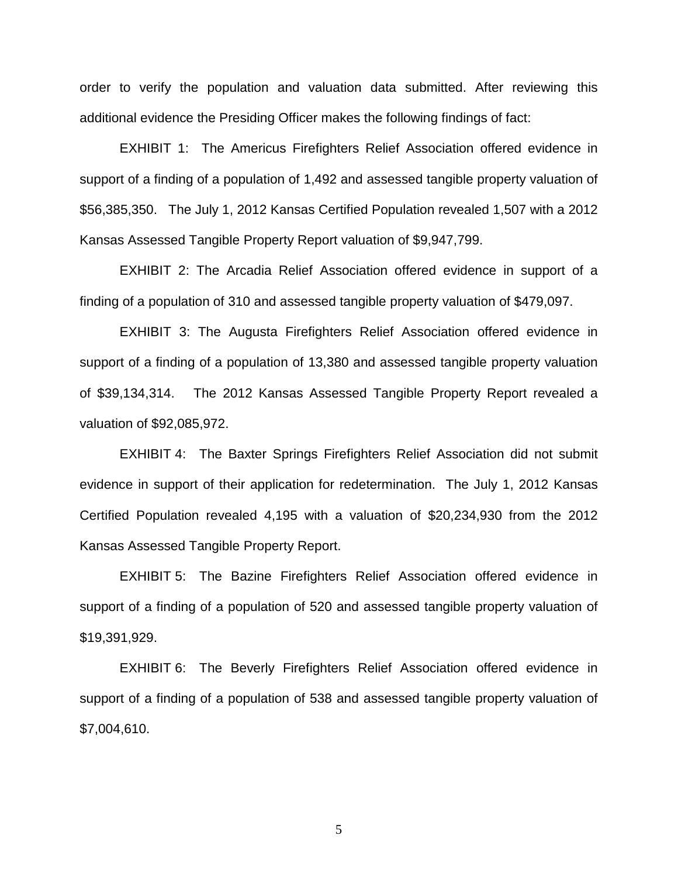order to verify the population and valuation data submitted. After reviewing this additional evidence the Presiding Officer makes the following findings of fact:

EXHIBIT 1: The Americus Firefighters Relief Association offered evidence in support of a finding of a population of 1,492 and assessed tangible property valuation of \$56,385,350. The July 1, 2012 Kansas Certified Population revealed 1,507 with a 2012 Kansas Assessed Tangible Property Report valuation of \$9,947,799.

EXHIBIT 2: The Arcadia Relief Association offered evidence in support of a finding of a population of 310 and assessed tangible property valuation of \$479,097.

EXHIBIT 3: The Augusta Firefighters Relief Association offered evidence in support of a finding of a population of 13,380 and assessed tangible property valuation of \$39,134,314. The 2012 Kansas Assessed Tangible Property Report revealed a valuation of \$92,085,972.

EXHIBIT 4: The Baxter Springs Firefighters Relief Association did not submit evidence in support of their application for redetermination. The July 1, 2012 Kansas Certified Population revealed 4,195 with a valuation of \$20,234,930 from the 2012 Kansas Assessed Tangible Property Report.

EXHIBIT 5: The Bazine Firefighters Relief Association offered evidence in support of a finding of a population of 520 and assessed tangible property valuation of \$19,391,929.

EXHIBIT 6: The Beverly Firefighters Relief Association offered evidence in support of a finding of a population of 538 and assessed tangible property valuation of \$7,004,610.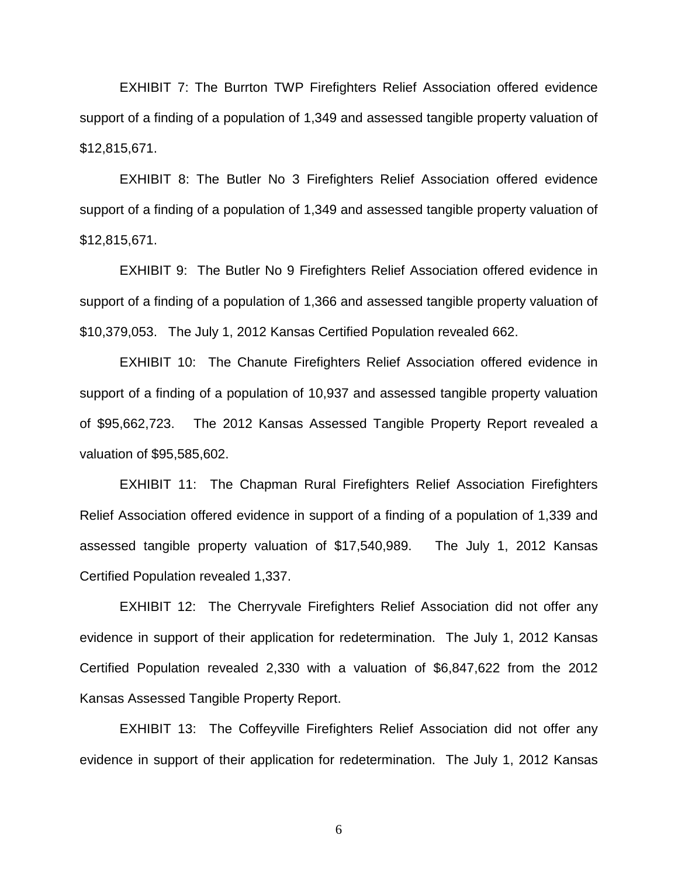EXHIBIT 7: The Burrton TWP Firefighters Relief Association offered evidence support of a finding of a population of 1,349 and assessed tangible property valuation of \$12,815,671.

EXHIBIT 8: The Butler No 3 Firefighters Relief Association offered evidence support of a finding of a population of 1,349 and assessed tangible property valuation of \$12,815,671.

EXHIBIT 9: The Butler No 9 Firefighters Relief Association offered evidence in support of a finding of a population of 1,366 and assessed tangible property valuation of \$10,379,053. The July 1, 2012 Kansas Certified Population revealed 662.

EXHIBIT 10: The Chanute Firefighters Relief Association offered evidence in support of a finding of a population of 10,937 and assessed tangible property valuation of \$95,662,723. The 2012 Kansas Assessed Tangible Property Report revealed a valuation of \$95,585,602.

EXHIBIT 11: The Chapman Rural Firefighters Relief Association Firefighters Relief Association offered evidence in support of a finding of a population of 1,339 and assessed tangible property valuation of \$17,540,989. The July 1, 2012 Kansas Certified Population revealed 1,337.

EXHIBIT 12: The Cherryvale Firefighters Relief Association did not offer any evidence in support of their application for redetermination. The July 1, 2012 Kansas Certified Population revealed 2,330 with a valuation of \$6,847,622 from the 2012 Kansas Assessed Tangible Property Report.

EXHIBIT 13: The Coffeyville Firefighters Relief Association did not offer any evidence in support of their application for redetermination. The July 1, 2012 Kansas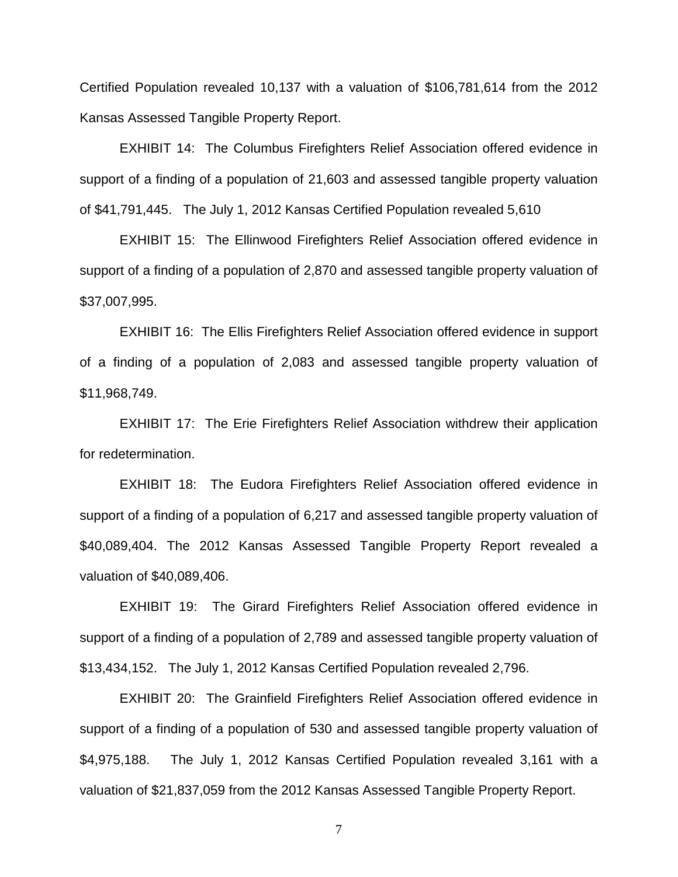Certified Population revealed 10,137 with a valuation of \$106,781,614 from the 2012 Kansas Assessed Tangible Property Report.

EXHIBIT 14: The Columbus Firefighters Relief Association offered evidence in support of a finding of a population of 21,603 and assessed tangible property valuation of \$41,791,445. The July 1, 2012 Kansas Certified Population revealed 5,610

EXHIBIT 15: The Ellinwood Firefighters Relief Association offered evidence in support of a finding of a population of 2,870 and assessed tangible property valuation of \$37,007,995.

EXHIBIT 16: The Ellis Firefighters Relief Association offered evidence in support of a finding of a population of 2,083 and assessed tangible property valuation of \$11,968,749.

EXHIBIT 17: The Erie Firefighters Relief Association withdrew their application for redetermination.

EXHIBIT 18: The Eudora Firefighters Relief Association offered evidence in support of a finding of a population of 6,217 and assessed tangible property valuation of \$40,089,404. The 2012 Kansas Assessed Tangible Property Report revealed a valuation of \$40,089,406.

EXHIBIT 19: The Girard Firefighters Relief Association offered evidence in support of a finding of a population of 2,789 and assessed tangible property valuation of \$13,434,152. The July 1, 2012 Kansas Certified Population revealed 2,796.

EXHIBIT 20: The Grainfield Firefighters Relief Association offered evidence in support of a finding of a population of 530 and assessed tangible property valuation of \$4,975,188. The July 1, 2012 Kansas Certified Population revealed 3,161 with a valuation of \$21,837,059 from the 2012 Kansas Assessed Tangible Property Report.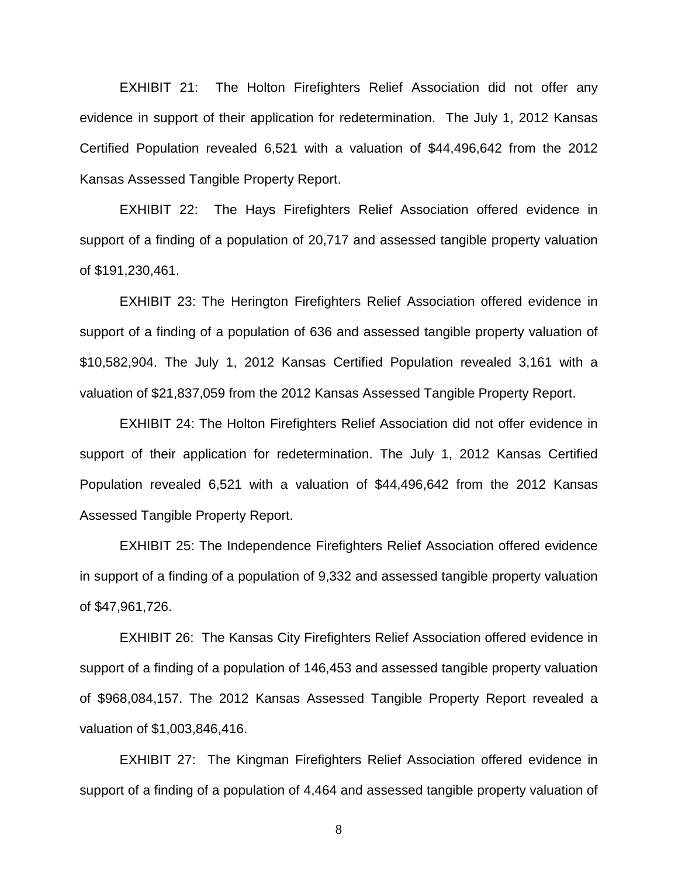EXHIBIT 21: The Holton Firefighters Relief Association did not offer any evidence in support of their application for redetermination. The July 1, 2012 Kansas Certified Population revealed 6,521 with a valuation of \$44,496,642 from the 2012 Kansas Assessed Tangible Property Report.

EXHIBIT 22: The Hays Firefighters Relief Association offered evidence in support of a finding of a population of 20,717 and assessed tangible property valuation of \$191,230,461.

EXHIBIT 23: The Herington Firefighters Relief Association offered evidence in support of a finding of a population of 636 and assessed tangible property valuation of \$10,582,904. The July 1, 2012 Kansas Certified Population revealed 3,161 with a valuation of \$21,837,059 from the 2012 Kansas Assessed Tangible Property Report.

EXHIBIT 24: The Holton Firefighters Relief Association did not offer evidence in support of their application for redetermination. The July 1, 2012 Kansas Certified Population revealed 6,521 with a valuation of \$44,496,642 from the 2012 Kansas Assessed Tangible Property Report.

EXHIBIT 25: The Independence Firefighters Relief Association offered evidence in support of a finding of a population of 9,332 and assessed tangible property valuation of \$47,961,726.

EXHIBIT 26: The Kansas City Firefighters Relief Association offered evidence in support of a finding of a population of 146,453 and assessed tangible property valuation of \$968,084,157. The 2012 Kansas Assessed Tangible Property Report revealed a valuation of \$1,003,846,416.

EXHIBIT 27: The Kingman Firefighters Relief Association offered evidence in support of a finding of a population of 4,464 and assessed tangible property valuation of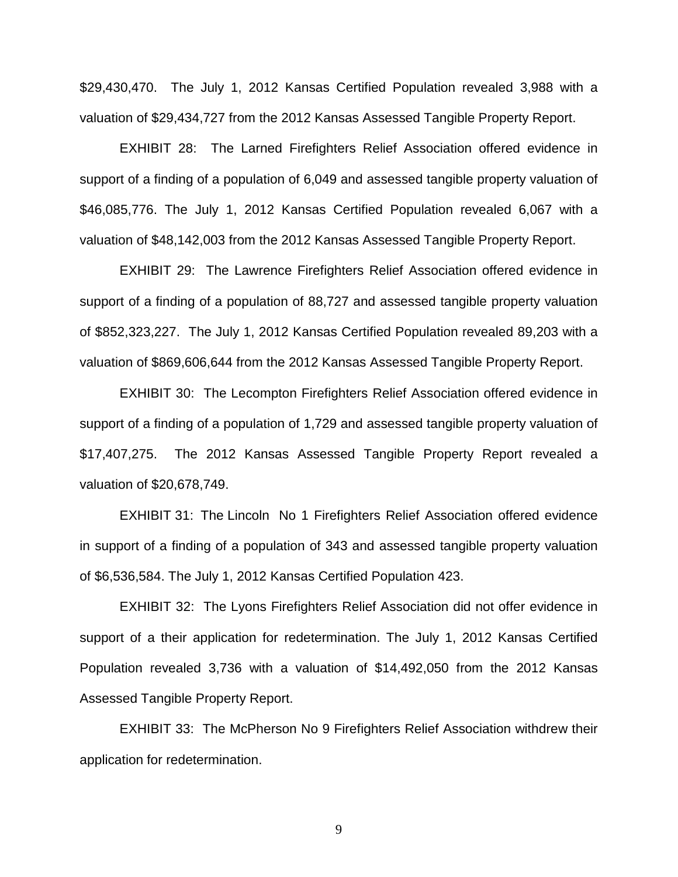\$29,430,470. The July 1, 2012 Kansas Certified Population revealed 3,988 with a valuation of \$29,434,727 from the 2012 Kansas Assessed Tangible Property Report.

EXHIBIT 28: The Larned Firefighters Relief Association offered evidence in support of a finding of a population of 6,049 and assessed tangible property valuation of \$46,085,776. The July 1, 2012 Kansas Certified Population revealed 6,067 with a valuation of \$48,142,003 from the 2012 Kansas Assessed Tangible Property Report.

EXHIBIT 29: The Lawrence Firefighters Relief Association offered evidence in support of a finding of a population of 88,727 and assessed tangible property valuation of \$852,323,227. The July 1, 2012 Kansas Certified Population revealed 89,203 with a valuation of \$869,606,644 from the 2012 Kansas Assessed Tangible Property Report.

EXHIBIT 30: The Lecompton Firefighters Relief Association offered evidence in support of a finding of a population of 1,729 and assessed tangible property valuation of \$17,407,275. The 2012 Kansas Assessed Tangible Property Report revealed a valuation of \$20,678,749.

EXHIBIT 31: The Lincoln No 1 Firefighters Relief Association offered evidence in support of a finding of a population of 343 and assessed tangible property valuation of \$6,536,584. The July 1, 2012 Kansas Certified Population 423.

EXHIBIT 32: The Lyons Firefighters Relief Association did not offer evidence in support of a their application for redetermination. The July 1, 2012 Kansas Certified Population revealed 3,736 with a valuation of \$14,492,050 from the 2012 Kansas Assessed Tangible Property Report.

EXHIBIT 33: The McPherson No 9 Firefighters Relief Association withdrew their application for redetermination.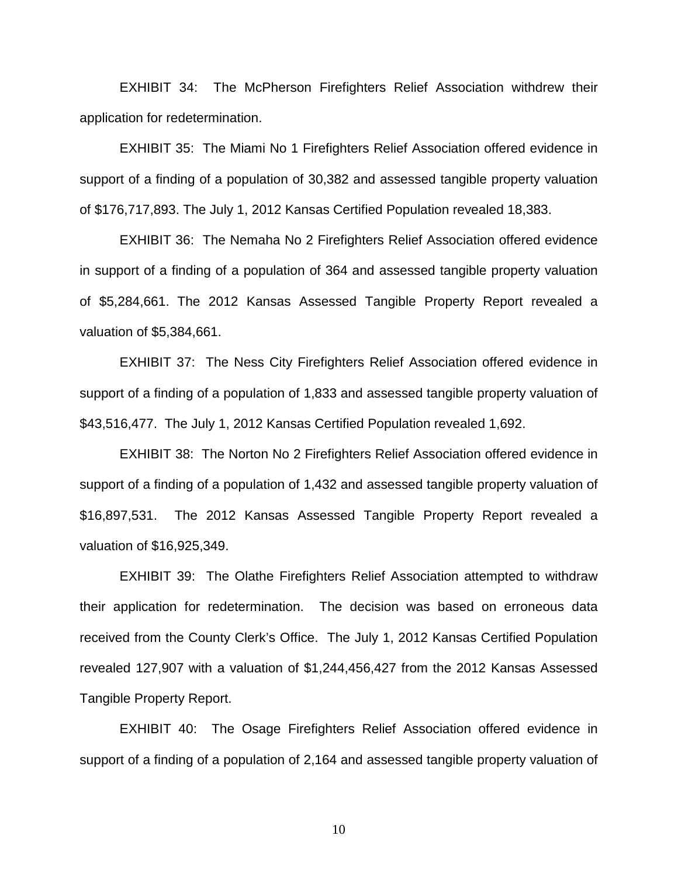EXHIBIT 34: The McPherson Firefighters Relief Association withdrew their application for redetermination.

EXHIBIT 35: The Miami No 1 Firefighters Relief Association offered evidence in support of a finding of a population of 30,382 and assessed tangible property valuation of \$176,717,893. The July 1, 2012 Kansas Certified Population revealed 18,383.

EXHIBIT 36: The Nemaha No 2 Firefighters Relief Association offered evidence in support of a finding of a population of 364 and assessed tangible property valuation of \$5,284,661. The 2012 Kansas Assessed Tangible Property Report revealed a valuation of \$5,384,661.

EXHIBIT 37: The Ness City Firefighters Relief Association offered evidence in support of a finding of a population of 1,833 and assessed tangible property valuation of \$43,516,477. The July 1, 2012 Kansas Certified Population revealed 1,692.

EXHIBIT 38: The Norton No 2 Firefighters Relief Association offered evidence in support of a finding of a population of 1,432 and assessed tangible property valuation of \$16,897,531. The 2012 Kansas Assessed Tangible Property Report revealed a valuation of \$16,925,349.

EXHIBIT 39: The Olathe Firefighters Relief Association attempted to withdraw their application for redetermination. The decision was based on erroneous data received from the County Clerk's Office. The July 1, 2012 Kansas Certified Population revealed 127,907 with a valuation of \$1,244,456,427 from the 2012 Kansas Assessed Tangible Property Report.

EXHIBIT 40: The Osage Firefighters Relief Association offered evidence in support of a finding of a population of 2,164 and assessed tangible property valuation of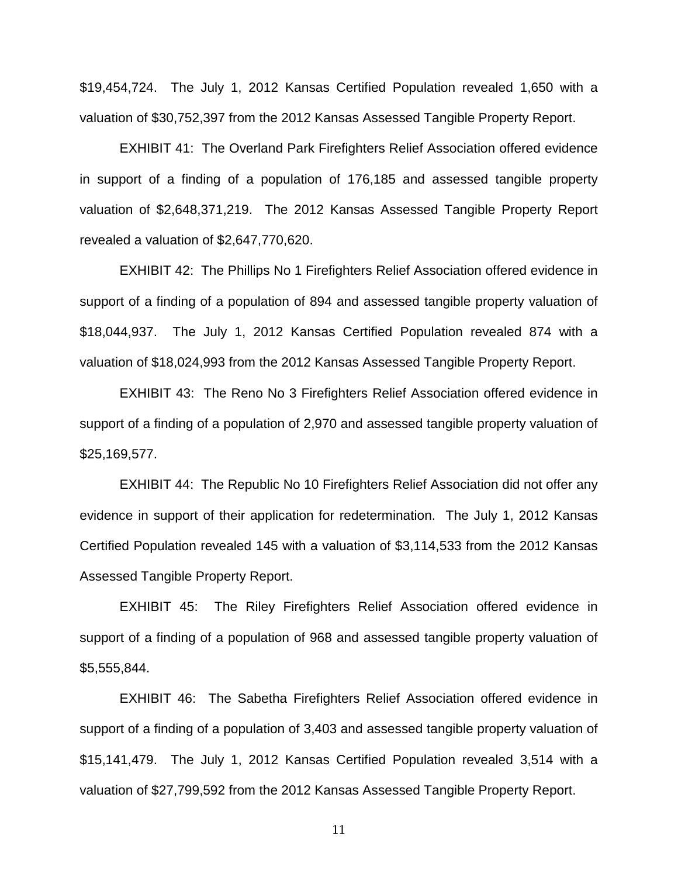\$19,454,724. The July 1, 2012 Kansas Certified Population revealed 1,650 with a valuation of \$30,752,397 from the 2012 Kansas Assessed Tangible Property Report.

EXHIBIT 41: The Overland Park Firefighters Relief Association offered evidence in support of a finding of a population of 176,185 and assessed tangible property valuation of \$2,648,371,219. The 2012 Kansas Assessed Tangible Property Report revealed a valuation of \$2,647,770,620.

EXHIBIT 42: The Phillips No 1 Firefighters Relief Association offered evidence in support of a finding of a population of 894 and assessed tangible property valuation of \$18,044,937. The July 1, 2012 Kansas Certified Population revealed 874 with a valuation of \$18,024,993 from the 2012 Kansas Assessed Tangible Property Report.

EXHIBIT 43: The Reno No 3 Firefighters Relief Association offered evidence in support of a finding of a population of 2,970 and assessed tangible property valuation of \$25,169,577.

EXHIBIT 44: The Republic No 10 Firefighters Relief Association did not offer any evidence in support of their application for redetermination. The July 1, 2012 Kansas Certified Population revealed 145 with a valuation of \$3,114,533 from the 2012 Kansas Assessed Tangible Property Report.

EXHIBIT 45: The Riley Firefighters Relief Association offered evidence in support of a finding of a population of 968 and assessed tangible property valuation of \$5,555,844.

EXHIBIT 46: The Sabetha Firefighters Relief Association offered evidence in support of a finding of a population of 3,403 and assessed tangible property valuation of \$15,141,479. The July 1, 2012 Kansas Certified Population revealed 3,514 with a valuation of \$27,799,592 from the 2012 Kansas Assessed Tangible Property Report.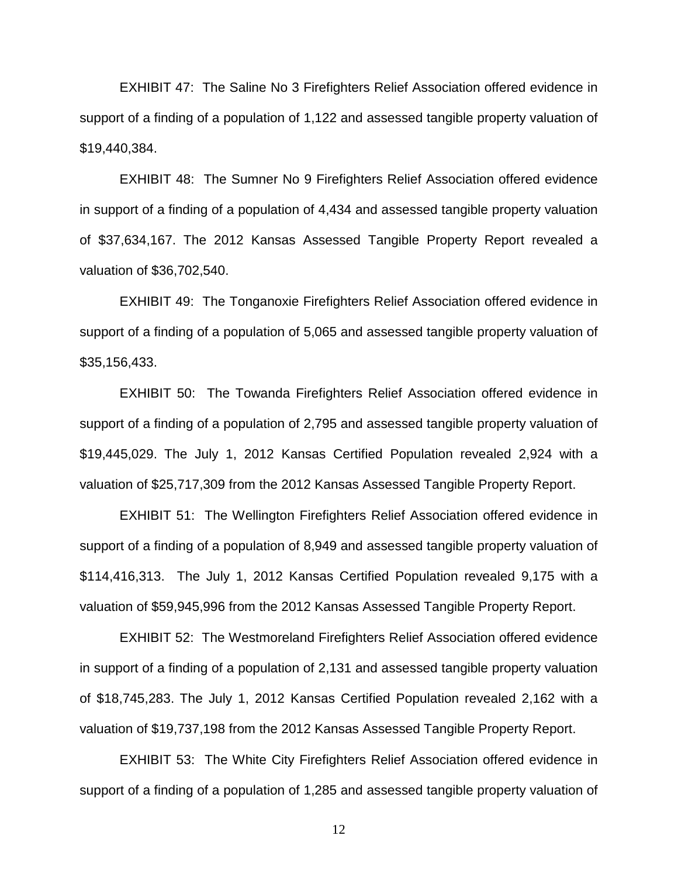EXHIBIT 47: The Saline No 3 Firefighters Relief Association offered evidence in support of a finding of a population of 1,122 and assessed tangible property valuation of \$19,440,384.

EXHIBIT 48: The Sumner No 9 Firefighters Relief Association offered evidence in support of a finding of a population of 4,434 and assessed tangible property valuation of \$37,634,167. The 2012 Kansas Assessed Tangible Property Report revealed a valuation of \$36,702,540.

EXHIBIT 49: The Tonganoxie Firefighters Relief Association offered evidence in support of a finding of a population of 5,065 and assessed tangible property valuation of \$35,156,433.

EXHIBIT 50: The Towanda Firefighters Relief Association offered evidence in support of a finding of a population of 2,795 and assessed tangible property valuation of \$19,445,029. The July 1, 2012 Kansas Certified Population revealed 2,924 with a valuation of \$25,717,309 from the 2012 Kansas Assessed Tangible Property Report.

EXHIBIT 51: The Wellington Firefighters Relief Association offered evidence in support of a finding of a population of 8,949 and assessed tangible property valuation of \$114,416,313. The July 1, 2012 Kansas Certified Population revealed 9,175 with a valuation of \$59,945,996 from the 2012 Kansas Assessed Tangible Property Report.

EXHIBIT 52: The Westmoreland Firefighters Relief Association offered evidence in support of a finding of a population of 2,131 and assessed tangible property valuation of \$18,745,283. The July 1, 2012 Kansas Certified Population revealed 2,162 with a valuation of \$19,737,198 from the 2012 Kansas Assessed Tangible Property Report.

EXHIBIT 53: The White City Firefighters Relief Association offered evidence in support of a finding of a population of 1,285 and assessed tangible property valuation of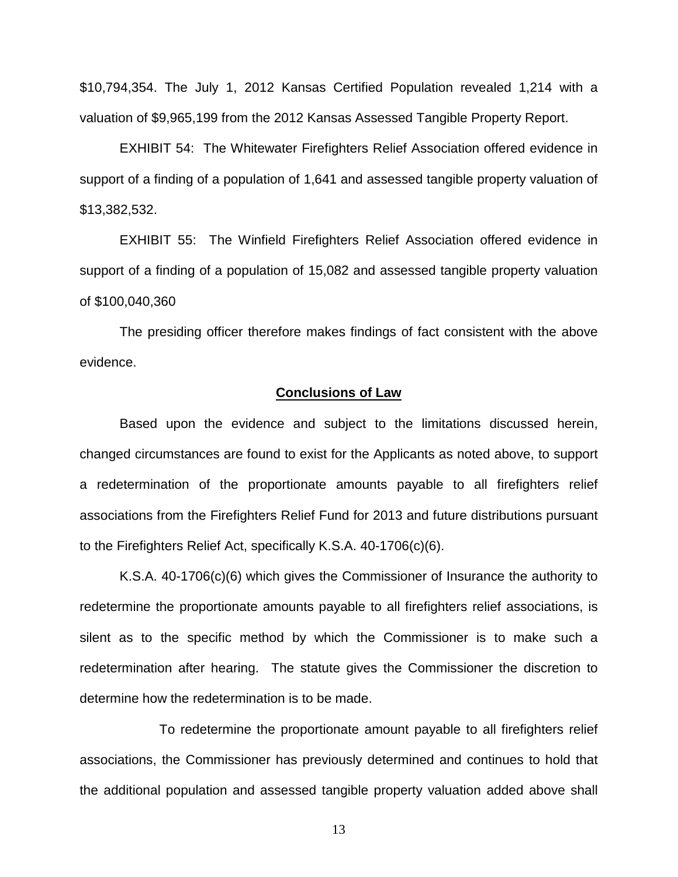\$10,794,354. The July 1, 2012 Kansas Certified Population revealed 1,214 with a valuation of \$9,965,199 from the 2012 Kansas Assessed Tangible Property Report.

EXHIBIT 54: The Whitewater Firefighters Relief Association offered evidence in support of a finding of a population of 1,641 and assessed tangible property valuation of \$13,382,532.

EXHIBIT 55: The Winfield Firefighters Relief Association offered evidence in support of a finding of a population of 15,082 and assessed tangible property valuation of \$100,040,360

The presiding officer therefore makes findings of fact consistent with the above evidence.

# **Conclusions of Law**

Based upon the evidence and subject to the limitations discussed herein, changed circumstances are found to exist for the Applicants as noted above, to support a redetermination of the proportionate amounts payable to all firefighters relief associations from the Firefighters Relief Fund for 2013 and future distributions pursuant to the Firefighters Relief Act, specifically K.S.A. 40-1706(c)(6).

K.S.A. 40-1706(c)(6) which gives the Commissioner of Insurance the authority to redetermine the proportionate amounts payable to all firefighters relief associations, is silent as to the specific method by which the Commissioner is to make such a redetermination after hearing. The statute gives the Commissioner the discretion to determine how the redetermination is to be made.

To redetermine the proportionate amount payable to all firefighters relief associations, the Commissioner has previously determined and continues to hold that the additional population and assessed tangible property valuation added above shall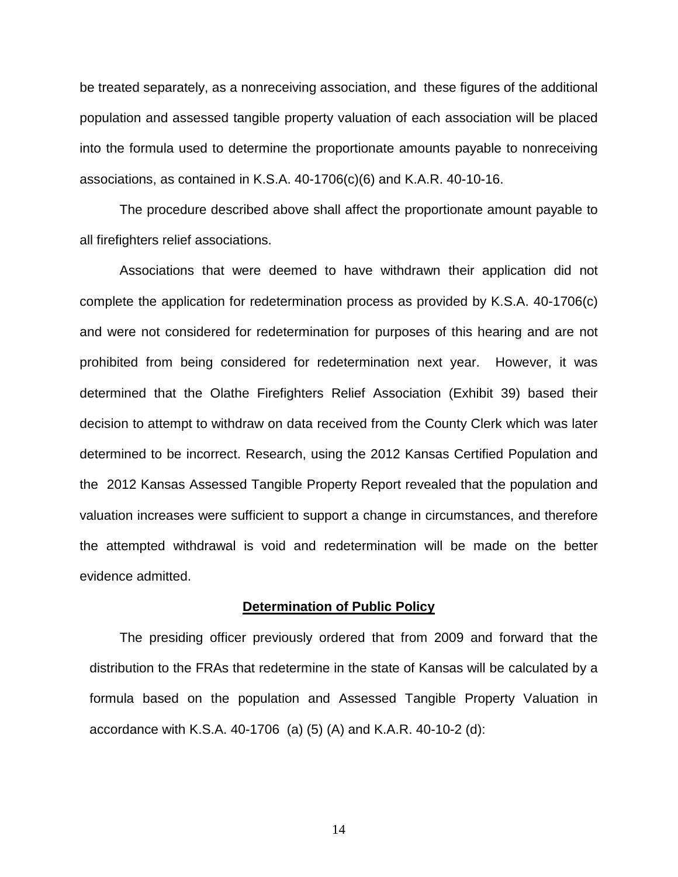be treated separately, as a nonreceiving association, and these figures of the additional population and assessed tangible property valuation of each association will be placed into the formula used to determine the proportionate amounts payable to nonreceiving associations, as contained in K.S.A. 40-1706(c)(6) and K.A.R. 40-10-16.

The procedure described above shall affect the proportionate amount payable to all firefighters relief associations.

Associations that were deemed to have withdrawn their application did not complete the application for redetermination process as provided by K.S.A. 40-1706(c) and were not considered for redetermination for purposes of this hearing and are not prohibited from being considered for redetermination next year. However, it was determined that the Olathe Firefighters Relief Association (Exhibit 39) based their decision to attempt to withdraw on data received from the County Clerk which was later determined to be incorrect. Research, using the 2012 Kansas Certified Population and the 2012 Kansas Assessed Tangible Property Report revealed that the population and valuation increases were sufficient to support a change in circumstances, and therefore the attempted withdrawal is void and redetermination will be made on the better evidence admitted.

### **Determination of Public Policy**

The presiding officer previously ordered that from 2009 and forward that the distribution to the FRAs that redetermine in the state of Kansas will be calculated by a formula based on the population and Assessed Tangible Property Valuation in accordance with K.S.A. 40-1706 (a) (5) (A) and K.A.R. 40-10-2 (d):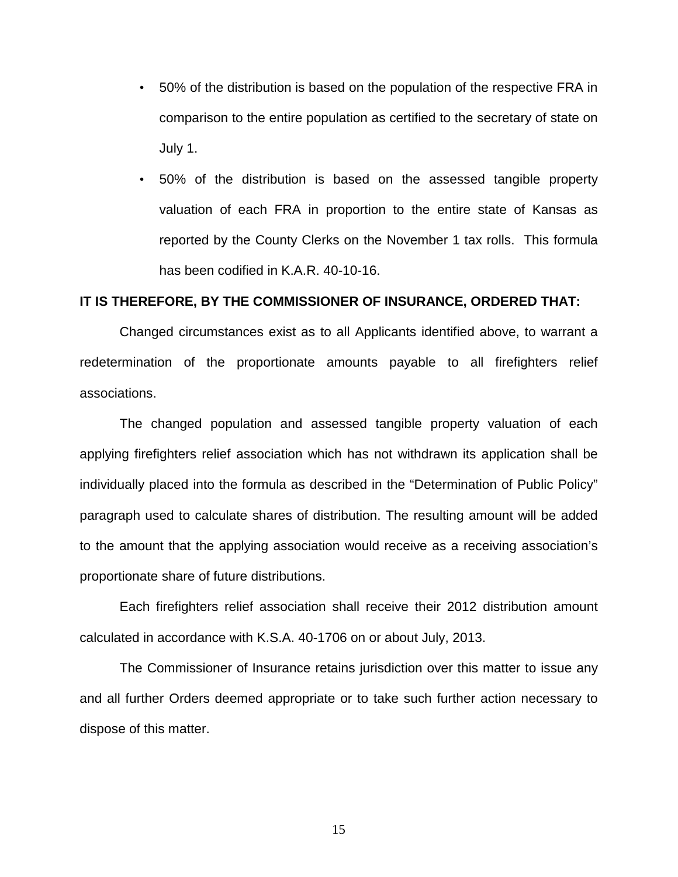- 50% of the distribution is based on the population of the respective FRA in comparison to the entire population as certified to the secretary of state on July 1.
- 50% of the distribution is based on the assessed tangible property valuation of each FRA in proportion to the entire state of Kansas as reported by the County Clerks on the November 1 tax rolls. This formula has been codified in K.A.R. 40-10-16.

### **IT IS THEREFORE, BY THE COMMISSIONER OF INSURANCE, ORDERED THAT:**

Changed circumstances exist as to all Applicants identified above, to warrant a redetermination of the proportionate amounts payable to all firefighters relief associations.

The changed population and assessed tangible property valuation of each applying firefighters relief association which has not withdrawn its application shall be individually placed into the formula as described in the "Determination of Public Policy" paragraph used to calculate shares of distribution. The resulting amount will be added to the amount that the applying association would receive as a receiving association's proportionate share of future distributions.

Each firefighters relief association shall receive their 2012 distribution amount calculated in accordance with K.S.A. 40-1706 on or about July, 2013.

The Commissioner of Insurance retains jurisdiction over this matter to issue any and all further Orders deemed appropriate or to take such further action necessary to dispose of this matter.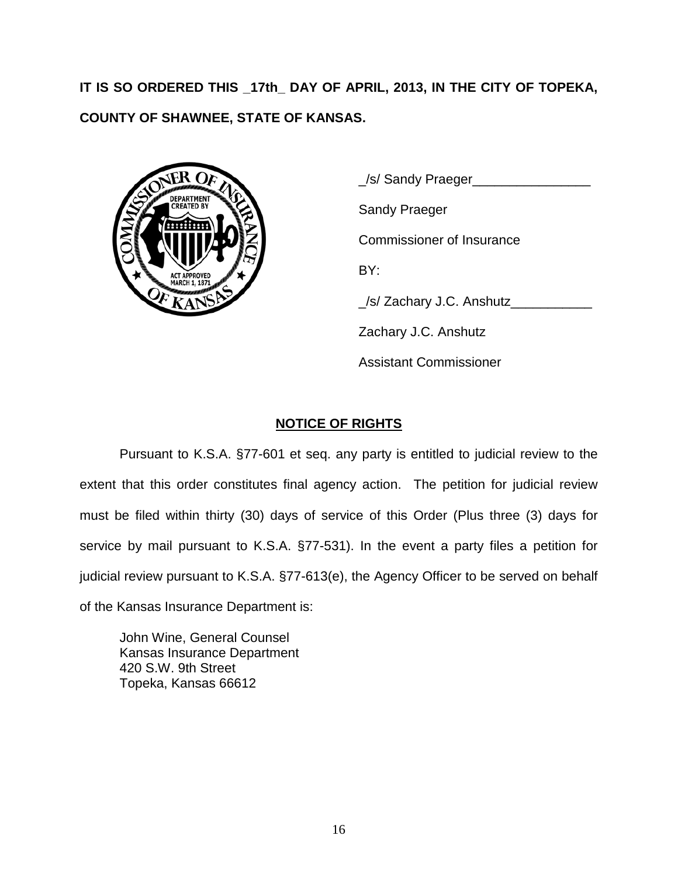**IT IS SO ORDERED THIS \_17th\_ DAY OF APRIL, 2013, IN THE CITY OF TOPEKA, COUNTY OF SHAWNEE, STATE OF KANSAS.**



\_/s/ Sandy Praeger\_\_\_\_\_\_\_\_\_\_\_\_\_\_\_\_ Sandy Praeger Commissioner of Insurance BY: \_/s/ Zachary J.C. Anshutz\_\_\_\_\_\_\_\_\_\_\_ Zachary J.C. Anshutz Assistant Commissioner

# **NOTICE OF RIGHTS**

Pursuant to K.S.A. §77-601 et seq. any party is entitled to judicial review to the extent that this order constitutes final agency action. The petition for judicial review must be filed within thirty (30) days of service of this Order (Plus three (3) days for service by mail pursuant to K.S.A. §77-531). In the event a party files a petition for judicial review pursuant to K.S.A. §77-613(e), the Agency Officer to be served on behalf of the Kansas Insurance Department is:

John Wine, General Counsel Kansas Insurance Department 420 S.W. 9th Street Topeka, Kansas 66612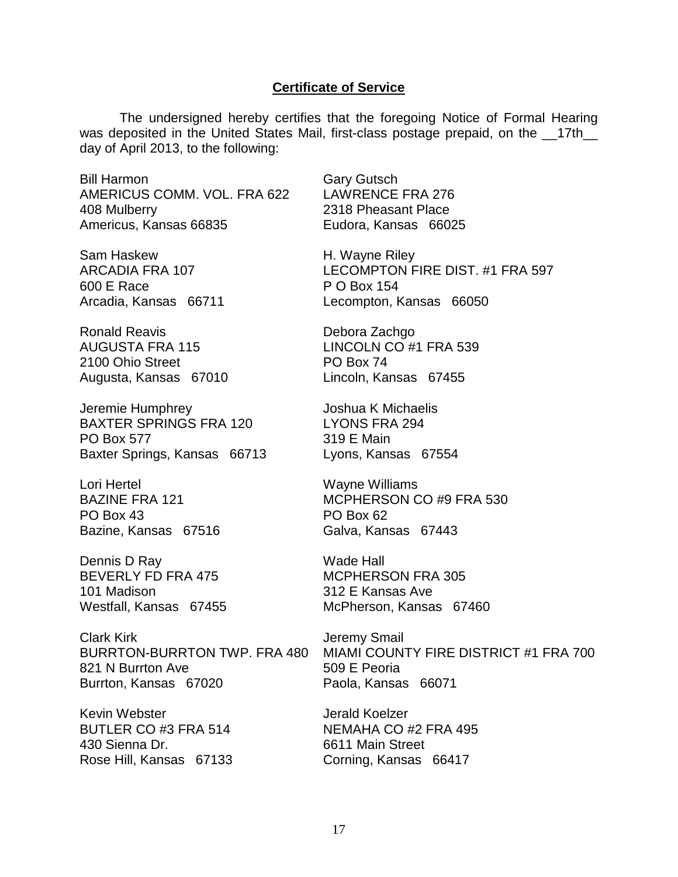#### **Certificate of Service**

The undersigned hereby certifies that the foregoing Notice of Formal Hearing was deposited in the United States Mail, first-class postage prepaid, on the \_\_17th\_\_ day of April 2013, to the following:

Bill Harmon AMERICUS COMM. VOL. FRA 622 408 Mulberry Americus, Kansas 66835

Sam Haskew ARCADIA FRA 107 600 E Race Arcadia, Kansas 66711

Ronald Reavis AUGUSTA FRA 115 2100 Ohio Street Augusta, Kansas 67010

Jeremie Humphrey BAXTER SPRINGS FRA 120 PO Box 577 Baxter Springs, Kansas 66713

Lori Hertel BAZINE FRA 121 PO Box 43 Bazine, Kansas 67516

Dennis D Ray BEVERLY FD FRA 475 101 Madison Westfall, Kansas 67455

Clark Kirk BURRTON-BURRTON TWP. FRA 480 821 N Burrton Ave Burrton, Kansas 67020

Kevin Webster BUTLER CO #3 FRA 514 430 Sienna Dr. Rose Hill, Kansas 67133 Gary Gutsch LAWRENCE FRA 276 2318 Pheasant Place Eudora, Kansas 66025

H. Wayne Riley LECOMPTON FIRE DIST. #1 FRA 597 P O Box 154 Lecompton, Kansas 66050

Debora Zachgo LINCOLN CO #1 FRA 539 PO Box 74 Lincoln, Kansas 67455

Joshua K Michaelis LYONS FRA 294 319 E Main Lyons, Kansas 67554

Wayne Williams MCPHERSON CO #9 FRA 530 PO Box 62 Galva, Kansas 67443

Wade Hall MCPHERSON FRA 305 312 E Kansas Ave McPherson, Kansas 67460

Jeremy Smail MIAMI COUNTY FIRE DISTRICT #1 FRA 700 509 E Peoria Paola, Kansas 66071

Jerald Koelzer NEMAHA CO #2 FRA 495 6611 Main Street Corning, Kansas 66417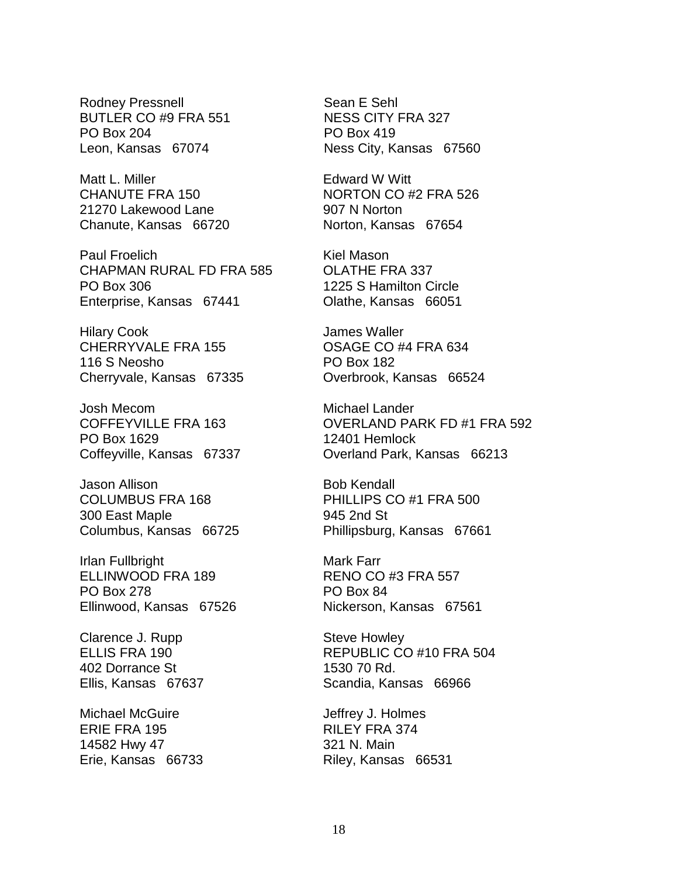Rodney Pressnell BUTLER CO #9 FRA 551 PO Box 204 Leon, Kansas 67074

Matt L. Miller CHANUTE FRA 150 21270 Lakewood Lane Chanute, Kansas 66720

Paul Froelich CHAPMAN RURAL FD FRA 585 PO Box 306 Enterprise, Kansas 67441

Hilary Cook CHERRYVALE FRA 155 116 S Neosho Cherryvale, Kansas 67335

Josh Mecom COFFEYVILLE FRA 163 PO Box 1629 Coffeyville, Kansas 67337

Jason Allison COLUMBUS FRA 168 300 East Maple Columbus, Kansas 66725

Irlan Fullbright ELLINWOOD FRA 189 PO Box 278 Ellinwood, Kansas 67526

Clarence J. Rupp ELLIS FRA 190 402 Dorrance St Ellis, Kansas 67637

Michael McGuire ERIE FRA 195 14582 Hwy 47 Erie, Kansas 66733 Sean E Sehl NESS CITY FRA 327 PO Box 419 Ness City, Kansas 67560

Edward W Witt NORTON CO #2 FRA 526 907 N Norton Norton, Kansas 67654

Kiel Mason OLATHE FRA 337 1225 S Hamilton Circle Olathe, Kansas 66051

James Waller OSAGE CO #4 FRA 634 PO Box 182 Overbrook, Kansas 66524

Michael Lander OVERLAND PARK FD #1 FRA 592 12401 Hemlock Overland Park, Kansas 66213

Bob Kendall PHILLIPS CO #1 FRA 500 945 2nd St Phillipsburg, Kansas 67661

Mark Farr RENO CO #3 FRA 557 PO Box 84 Nickerson, Kansas 67561

Steve Howley REPUBLIC CO #10 FRA 504 1530 70 Rd. Scandia, Kansas 66966

Jeffrey J. Holmes RILEY FRA 374 321 N. Main Riley, Kansas 66531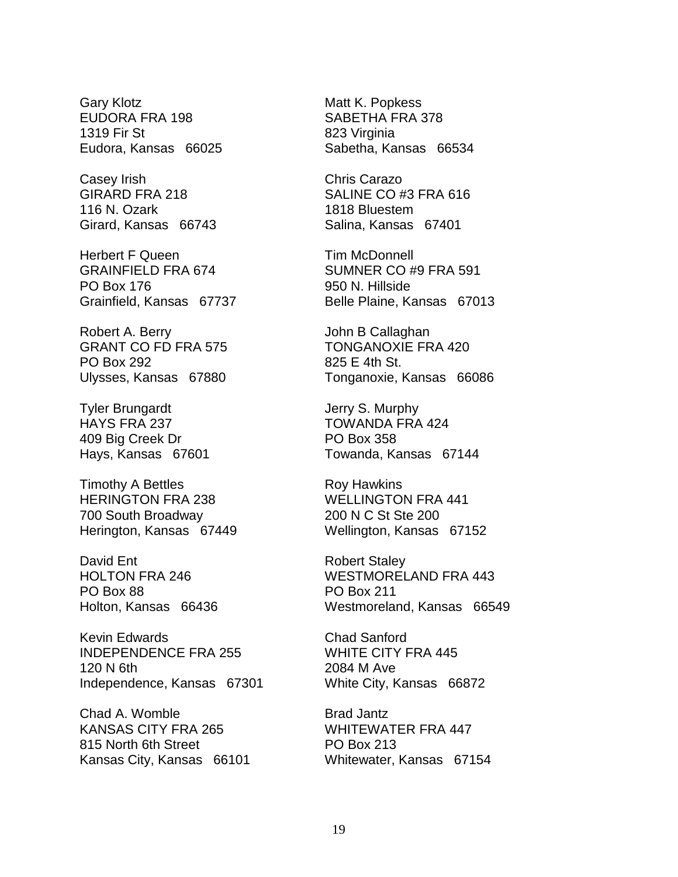Gary Klotz EUDORA FRA 198 1319 Fir St Eudora, Kansas 66025

Casey Irish GIRARD FRA 218 116 N. Ozark Girard, Kansas 66743

Herbert F Queen GRAINFIELD FRA 674 PO Box 176 Grainfield, Kansas 67737

Robert A. Berry GRANT CO FD FRA 575 PO Box 292 Ulysses, Kansas 67880

Tyler Brungardt HAYS FRA 237 409 Big Creek Dr Hays, Kansas 67601

Timothy A Bettles HERINGTON FRA 238 700 South Broadway Herington, Kansas 67449

David Ent HOLTON FRA 246 PO Box 88 Holton, Kansas 66436

Kevin Edwards INDEPENDENCE FRA 255 120 N 6th Independence, Kansas 67301

Chad A. Womble KANSAS CITY FRA 265 815 North 6th Street Kansas City, Kansas 66101

Matt K. Popkess SABETHA FRA 378 823 Virginia Sabetha, Kansas 66534

Chris Carazo SALINE CO #3 FRA 616 1818 Bluestem Salina, Kansas 67401

Tim McDonnell SUMNER CO #9 FRA 591 950 N. Hillside Belle Plaine, Kansas 67013

John B Callaghan TONGANOXIE FRA 420 825 E 4th St. Tonganoxie, Kansas 66086

Jerry S. Murphy TOWANDA FRA 424 PO Box 358 Towanda, Kansas 67144

Roy Hawkins WELLINGTON FRA 441 200 N C St Ste 200 Wellington, Kansas 67152

Robert Staley WESTMORELAND FRA 443 PO Box 211 Westmoreland, Kansas 66549

Chad Sanford WHITE CITY FRA 445 2084 M Ave White City, Kansas 66872

Brad Jantz WHITEWATER FRA 447 PO Box 213 Whitewater, Kansas 67154